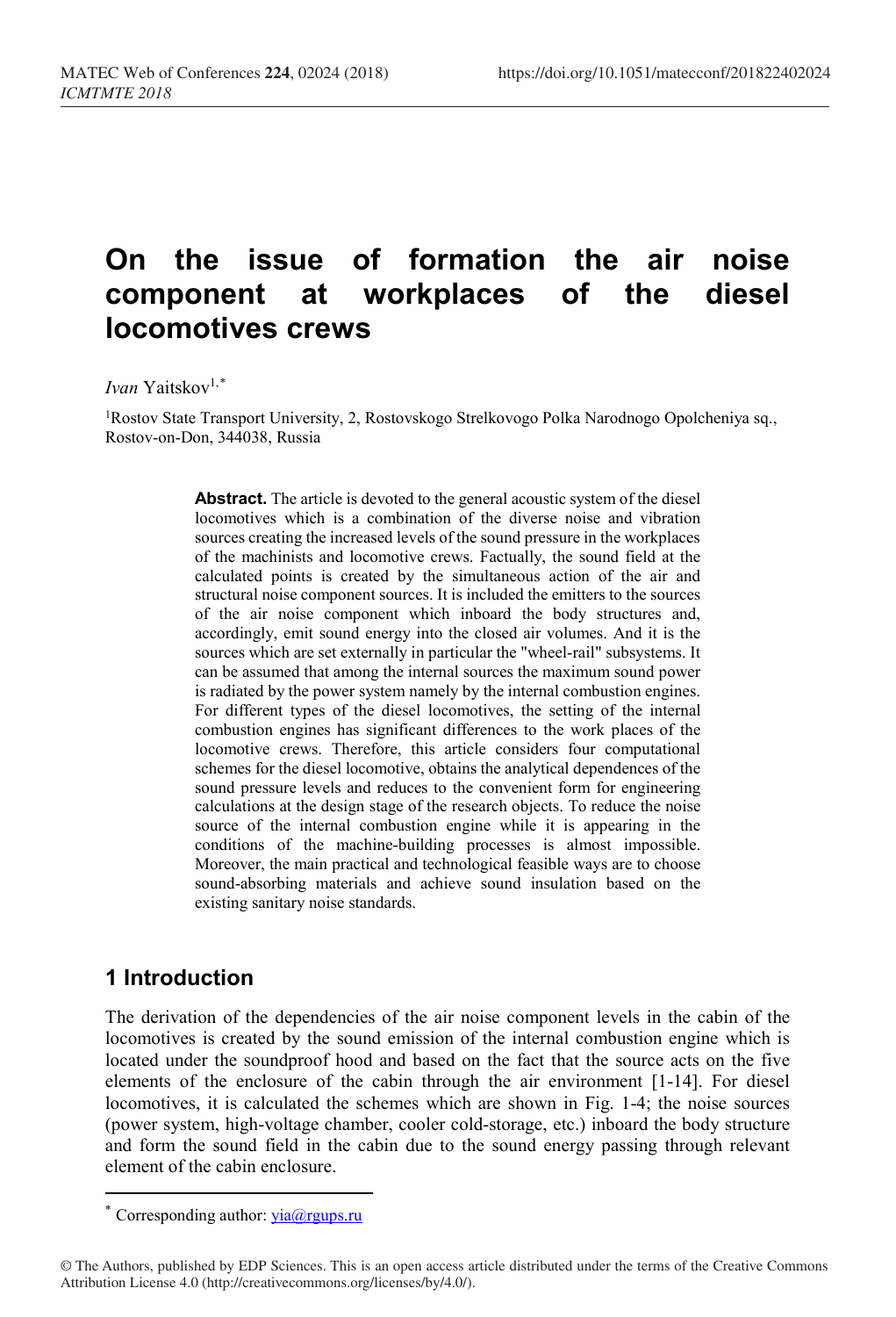# **On the issue of formation the air noise component at workplaces of the diesel locomotives crews**

#### *Ivan* Yaitskov1,[\\*](#page-0-0)

1Rostov State Transport University, 2, Rostovskogo Strelkovogo Polka Narodnogo Opolcheniya sq., Rostov-on-Don, 344038, Russia

> Abstract. The article is devoted to the general acoustic system of the diesel locomotives which is a combination of the diverse noise and vibration sources creating the increased levels of the sound pressure in the workplaces of the machinists and locomotive crews. Factually, the sound field at the calculated points is created by the simultaneous action of the air and structural noise component sources. It is included the emitters to the sources of the air noise component which inboard the body structures and, accordingly, emit sound energy into the closed air volumes. And it is the sources which are set externally in particular the "wheel-rail" subsystems. It can be assumed that among the internal sources the maximum sound power is radiated by the power system namely by the internal combustion engines. For different types of the diesel locomotives, the setting of the internal combustion engines has significant differences to the work places of the locomotive crews. Therefore, this article considers four computational schemes for the diesel locomotive, obtains the analytical dependences of the sound pressure levels and reduces to the convenient form for engineering calculations at the design stage of the research objects. To reduce the noise source of the internal combustion engine while it is appearing in the conditions of the machine-building processes is almost impossible. Moreover, the main practical and technological feasible ways are to choose sound-absorbing materials and achieve sound insulation based on the existing sanitary noise standards.

## **1 Introduction**

 $\overline{a}$ 

The derivation of the dependencies of the air noise component levels in the cabin of the locomotives is created by the sound emission of the internal combustion engine which is located under the soundproof hood and based on the fact that the source acts on the five elements of the enclosure of the cabin through the air environment [1-14]. For diesel locomotives, it is calculated the schemes which are shown in Fig. 1-4; the noise sources (power system, high-voltage chamber, cooler cold-storage, etc.) inboard the body structure and form the sound field in the cabin due to the sound energy passing through relevant element of the cabin enclosure.

<sup>\*</sup> Corresponding author:  $via@rgups.ru$ 

<span id="page-0-0"></span><sup>©</sup> The Authors, published by EDP Sciences. This is an open access article distributed under the terms of the Creative Commons Attribution License 4.0 (http://creativecommons.org/licenses/by/4.0/).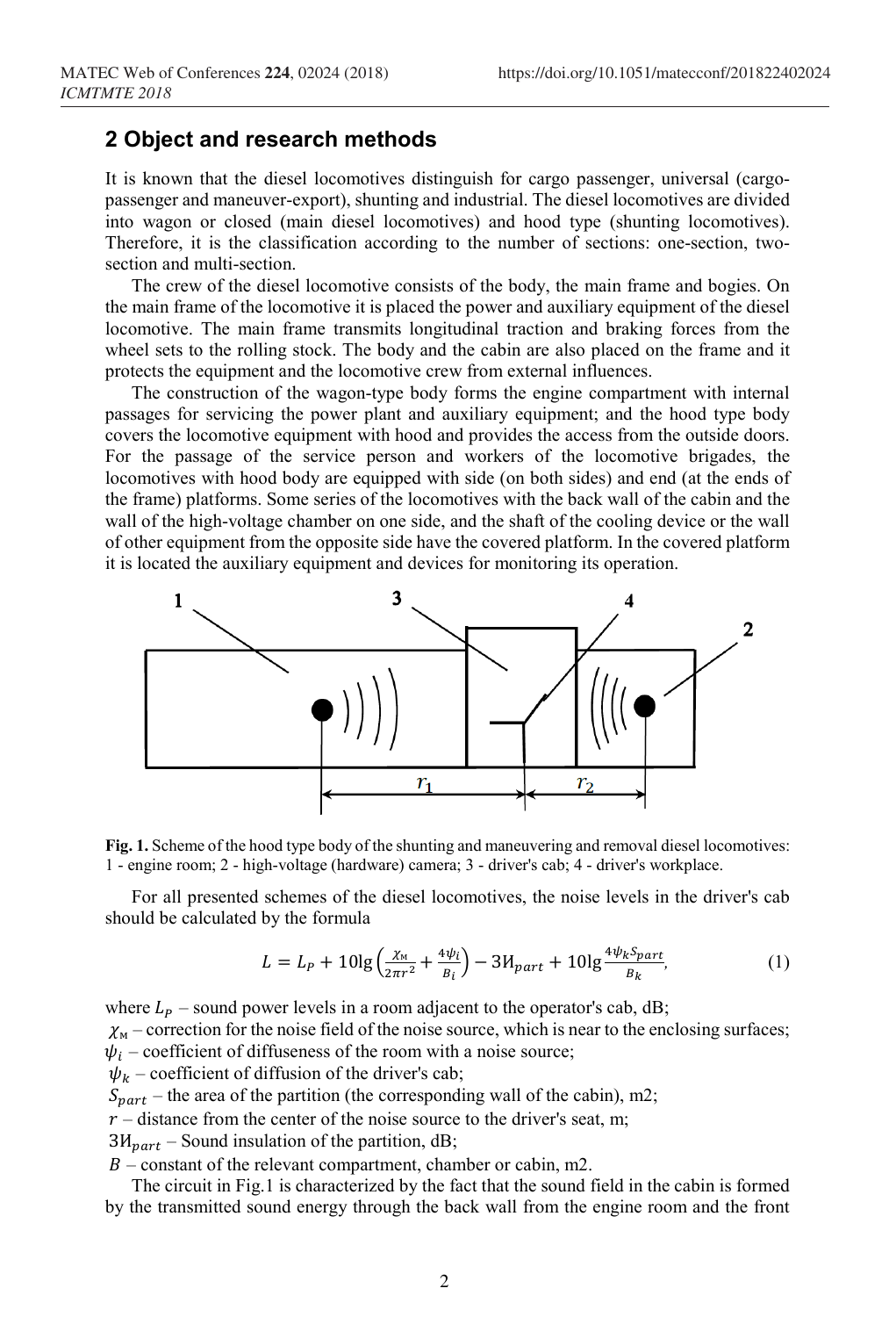### **2 Object and research methods**

It is known that the diesel locomotives distinguish for cargo passenger, universal (cargopassenger and maneuver-export), shunting and industrial. The diesel locomotives are divided into wagon or closed (main diesel locomotives) and hood type (shunting locomotives). Therefore, it is the classification according to the number of sections: one-section, twosection and multi-section.

The crew of the diesel locomotive consists of the body, the main frame and bogies. On the main frame of the locomotive it is placed the power and auxiliary equipment of the diesel locomotive. The main frame transmits longitudinal traction and braking forces from the wheel sets to the rolling stock. The body and the cabin are also placed on the frame and it protects the equipment and the locomotive crew from external influences.

The construction of the wagon-type body forms the engine compartment with internal passages for servicing the power plant and auxiliary equipment; and the hood type body covers the locomotive equipment with hood and provides the access from the outside doors. For the passage of the service person and workers of the locomotive brigades, the locomotives with hood body are equipped with side (on both sides) and end (at the ends of the frame) platforms. Some series of the locomotives with the back wall of the cabin and the wall of the high-voltage chamber on one side, and the shaft of the cooling device or the wall of other equipment from the opposite side have the covered platform. In the covered platform it is located the auxiliary equipment and devices for monitoring its operation.



**Fig. 1.** Scheme of the hood type body of the shunting and maneuvering and removal diesel locomotives: 1 - engine room; 2 - high-voltage (hardware) camera; 3 - driver's cab; 4 - driver's workplace.

For all presented schemes of the diesel locomotives, the noise levels in the driver's cab should be calculated by the formula

$$
L = L_P + 10 \lg \left( \frac{\chi_M}{2\pi r^2} + \frac{4\psi_l}{B_l} \right) - 3H_{part} + 10 \lg \frac{4\psi_k S_{part}}{B_k},\tag{1}
$$

where  $L_p$  – sound power levels in a room adjacent to the operator's cab, dB;  $\chi_{\text{M}}$  – correction for the noise field of the noise source, which is near to the enclosing surfaces;  $\psi_i$  – coefficient of diffuseness of the room with a noise source;  $\psi_k$  – coefficient of diffusion of the driver's cab;  $S_{part}$  – the area of the partition (the corresponding wall of the cabin), m2;

 $r$  – distance from the center of the noise source to the driver's seat, m;

 $3H_{part}$  – Sound insulation of the partition, dB;

 $B$  – constant of the relevant compartment, chamber or cabin, m2.

The circuit in Fig.1 is characterized by the fact that the sound field in the cabin is formed by the transmitted sound energy through the back wall from the engine room and the front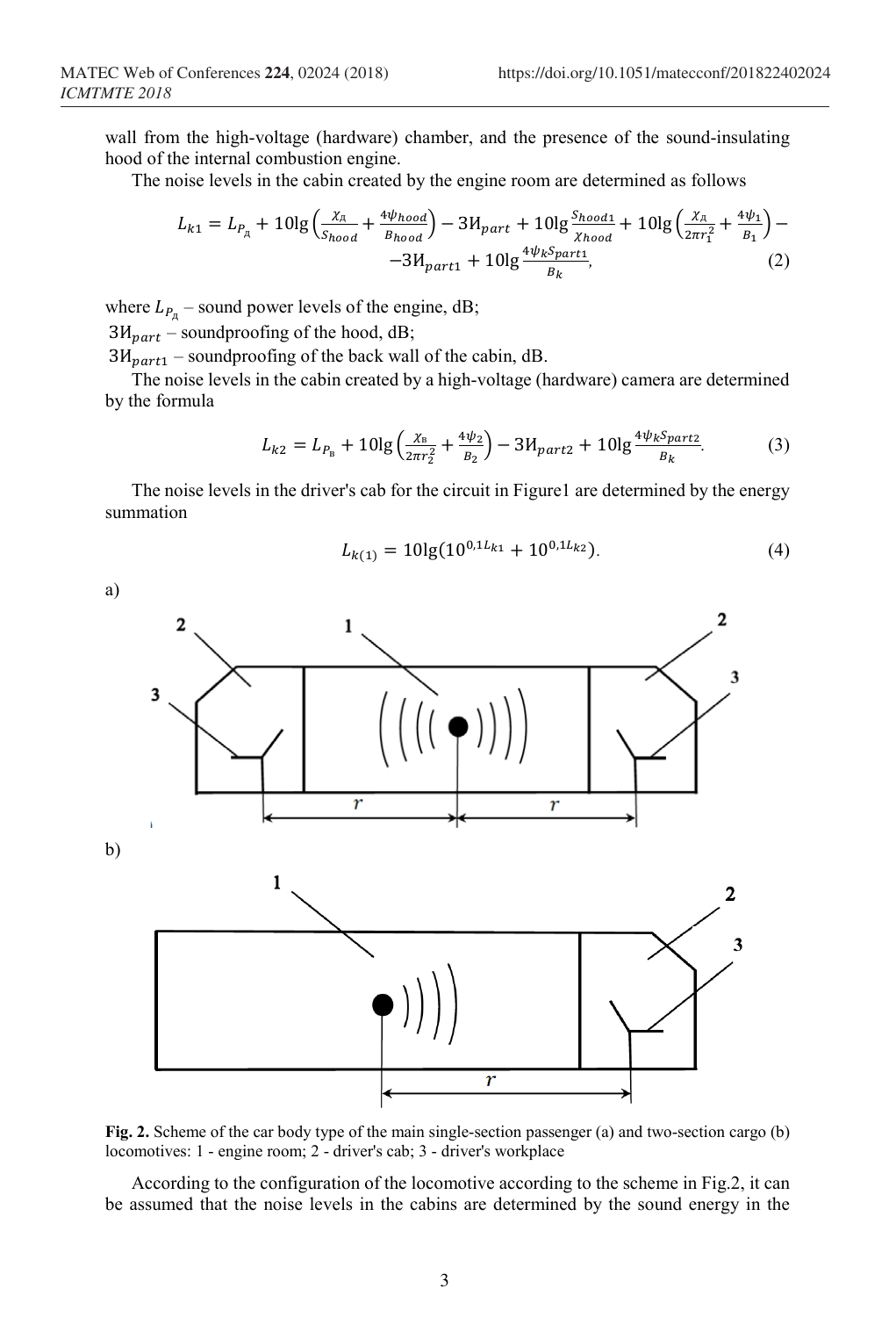wall from the high-voltage (hardware) chamber, and the presence of the sound-insulating hood of the internal combustion engine.

The noise levels in the cabin created by the engine room are determined as follows

$$
L_{k1} = L_{P_A} + 10 \lg \left( \frac{\chi_A}{S_{hood}} + \frac{4\psi_{hood}}{B_{hood}} \right) - 3H_{part} + 10 \lg \frac{S_{hood1}}{\chi_{hood}} + 10 \lg \left( \frac{\chi_A}{2\pi r_1^2} + \frac{4\psi_1}{B_1} \right) - 3H_{part1} + 10 \lg \frac{4\psi_k S_{part1}}{B_k},
$$
\n(2)

where  $L_{P_{\mu}}$  – sound power levels of the engine, dB;

 $3H_{part}$  – soundproofing of the hood, dB;

 $3H_{part1}$  – soundproofing of the back wall of the cabin, dB.

The noise levels in the cabin created by a high-voltage (hardware) camera are determined by the formula

$$
L_{k2} = L_{P_{B}} + 10 \lg \left( \frac{\chi_{B}}{2\pi r_{2}^{2}} + \frac{4\psi_{2}}{B_{2}} \right) - 3H_{part2} + 10 \lg \frac{4\psi_{k}S_{part2}}{B_{k}}.
$$
 (3)

The noise levels in the driver's cab for the circuit in Figure1 are determined by the energy summation

$$
L_{k(1)} = 10\lg(10^{0,1L_{k1}} + 10^{0,1L_{k2}}). \tag{4}
$$





**Fig. 2.** Scheme of the car body type of the main single-section passenger (a) and two-section cargo (b) locomotives: 1 - engine room; 2 - driver's cab; 3 - driver's workplace

According to the configuration of the locomotive according to the scheme in Fig.2, it can be assumed that the noise levels in the cabins are determined by the sound energy in the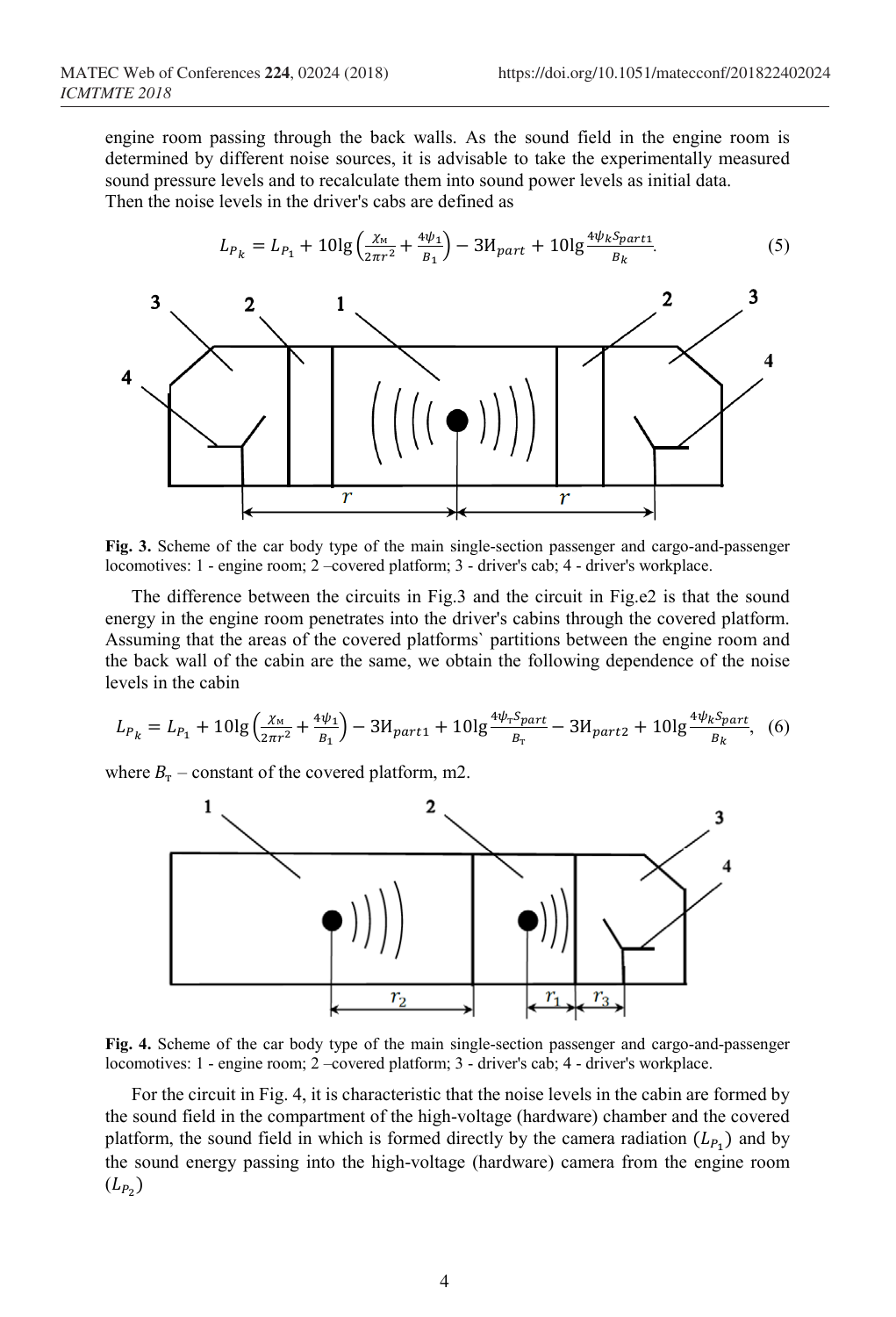engine room passing through the back walls. As the sound field in the engine room is determined by different noise sources, it is advisable to take the experimentally measured sound pressure levels and to recalculate them into sound power levels as initial data. Then the noise levels in the driver's cabs are defined as



**Fig. 3.** Scheme of the car body type of the main single-section passenger and cargo-and-passenger locomotives: 1 - engine room; 2 - covered platform; 3 - driver's cab; 4 - driver's workplace.

The difference between the circuits in Fig.3 and the circuit in Fig.e2 is that the sound energy in the engine room penetrates into the driver's cabins through the covered platform. Assuming that the areas of the covered platforms` partitions between the engine room and the back wall of the cabin are the same, we obtain the following dependence of the noise levels in the cabin

$$
L_{P_k} = L_{P_1} + 10 \lg \left( \frac{\chi_{\rm M}}{2\pi r^2} + \frac{4\psi_1}{B_1} \right) - 3H_{part1} + 10 \lg \frac{4\psi_{\rm T} S_{part}}{B_{\rm T}} - 3H_{part2} + 10 \lg \frac{4\psi_k S_{part}}{B_k}, \tag{6}
$$

where  $B<sub>r</sub>$  – constant of the covered platform, m2.



**Fig. 4.** Scheme of the car body type of the main single-section passenger and cargo-and-passenger locomotives: 1 - engine room; 2 –covered platform; 3 - driver's cab; 4 - driver's workplace.

For the circuit in Fig. 4, it is characteristic that the noise levels in the cabin are formed by the sound field in the compartment of the high-voltage (hardware) chamber and the covered platform, the sound field in which is formed directly by the camera radiation  $(L_{P_n})$  and by the sound energy passing into the high-voltage (hardware) camera from the engine room  $(L_{P_2})$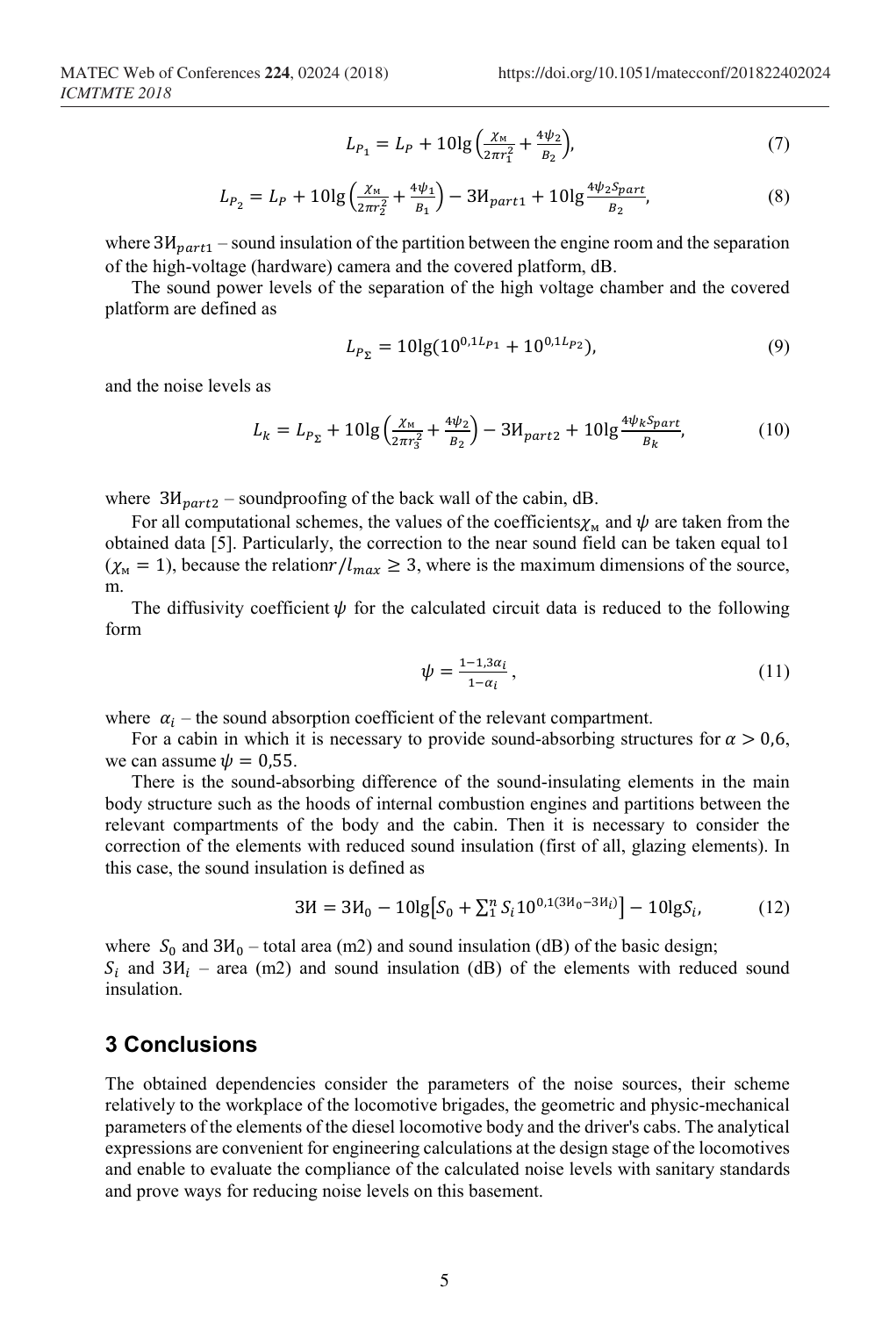$$
L_{P_1} = L_P + 10 \lg \left( \frac{\chi_{\rm M}}{2\pi r_1^2} + \frac{4\psi_2}{B_2} \right),\tag{7}
$$

$$
L_{P_2} = L_P + 10 \lg \left( \frac{\chi_{\rm M}}{2\pi r_2^2} + \frac{4\psi_1}{B_1} \right) - 3H_{part1} + 10 \lg \frac{4\psi_2 S_{part}}{B_2},\tag{8}
$$

where  $3*U*<sub>part1</sub>$  – sound insulation of the partition between the engine room and the separation of the high-voltage (hardware) camera and the covered platform, dB.

The sound power levels of the separation of the high voltage chamber and the covered platform are defined as

$$
L_{P_{\Sigma}} = 10 \lg(10^{0,1L_{P1}} + 10^{0,1L_{P2}}),\tag{9}
$$

and the noise levels as

$$
L_k = L_{P_\Sigma} + 10 \lg \left( \frac{\chi_{\rm M}}{2\pi r_3^2} + \frac{4\psi_2}{B_2} \right) - 3H_{part2} + 10 \lg \frac{4\psi_k S_{part}}{B_k},\tag{10}
$$

where  $3H_{part2}$  – soundproofing of the back wall of the cabin, dB.

For all computational schemes, the values of the coefficients  $\chi_M$  and  $\psi$  are taken from the obtained data [5]. Particularly, the correction to the near sound field can be taken equal to1  $(\chi_{\text{M}} = 1)$ , because the relation  $r/l_{max} \geq 3$ , where is the maximum dimensions of the source, m.

The diffusivity coefficient  $\psi$  for the calculated circuit data is reduced to the following form

$$
\psi = \frac{1 - 1.3\alpha_i}{1 - \alpha_i},\tag{11}
$$

where  $\alpha_i$  – the sound absorption coefficient of the relevant compartment.

For a cabin in which it is necessary to provide sound-absorbing structures for  $\alpha > 0.6$ , we can assume  $\psi = 0.55$ .

There is the sound-absorbing difference of the sound-insulating elements in the main body structure such as the hoods of internal combustion engines and partitions between the relevant compartments of the body and the cabin. Then it is necessary to consider the correction of the elements with reduced sound insulation (first of all, glazing elements). In this case, the sound insulation is defined as

$$
3H = 3H_0 - 10\lg[S_0 + \sum_{i=1}^{n} S_i 10^{0.1(3H_0 - 3H_i)}] - 10\lg S_i,
$$
 (12)

where  $S_0$  and  $3H_0$  – total area (m2) and sound insulation (dB) of the basic design;  $S_i$  and  $3H_i$  – area (m2) and sound insulation (dB) of the elements with reduced sound insulation.

#### **3 Conclusions**

The obtained dependencies consider the parameters of the noise sources, their scheme relatively to the workplace of the locomotive brigades, the geometric and physic-mechanical parameters of the elements of the diesel locomotive body and the driver's cabs. The analytical expressions are convenient for engineering calculations at the design stage of the locomotives and enable to evaluate the compliance of the calculated noise levels with sanitary standards and prove ways for reducing noise levels on this basement.